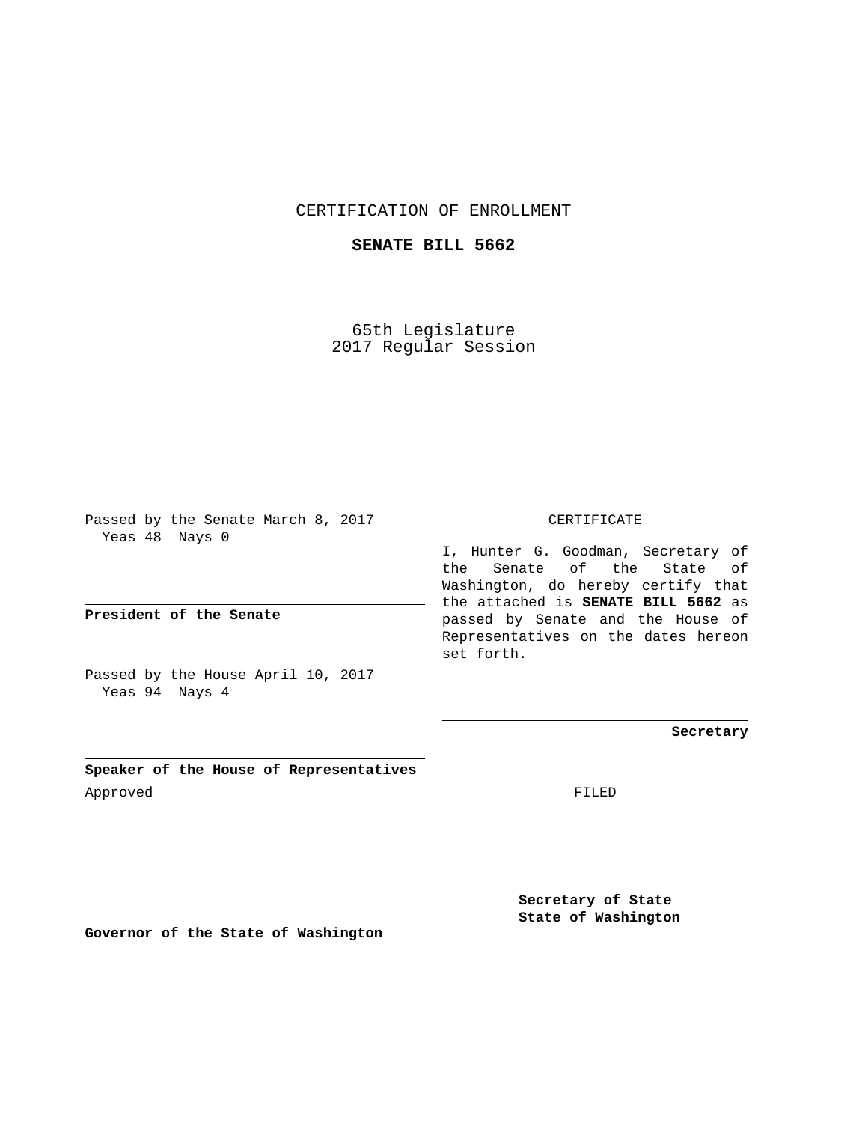## CERTIFICATION OF ENROLLMENT

## **SENATE BILL 5662**

65th Legislature 2017 Regular Session

Passed by the Senate March 8, 2017 Yeas 48 Nays 0

**President of the Senate**

Passed by the House April 10, 2017 Yeas 94 Nays 4

**Speaker of the House of Representatives** Approved FILED

CERTIFICATE

I, Hunter G. Goodman, Secretary of the Senate of the State of Washington, do hereby certify that the attached is **SENATE BILL 5662** as passed by Senate and the House of Representatives on the dates hereon set forth.

**Secretary**

**Secretary of State State of Washington**

**Governor of the State of Washington**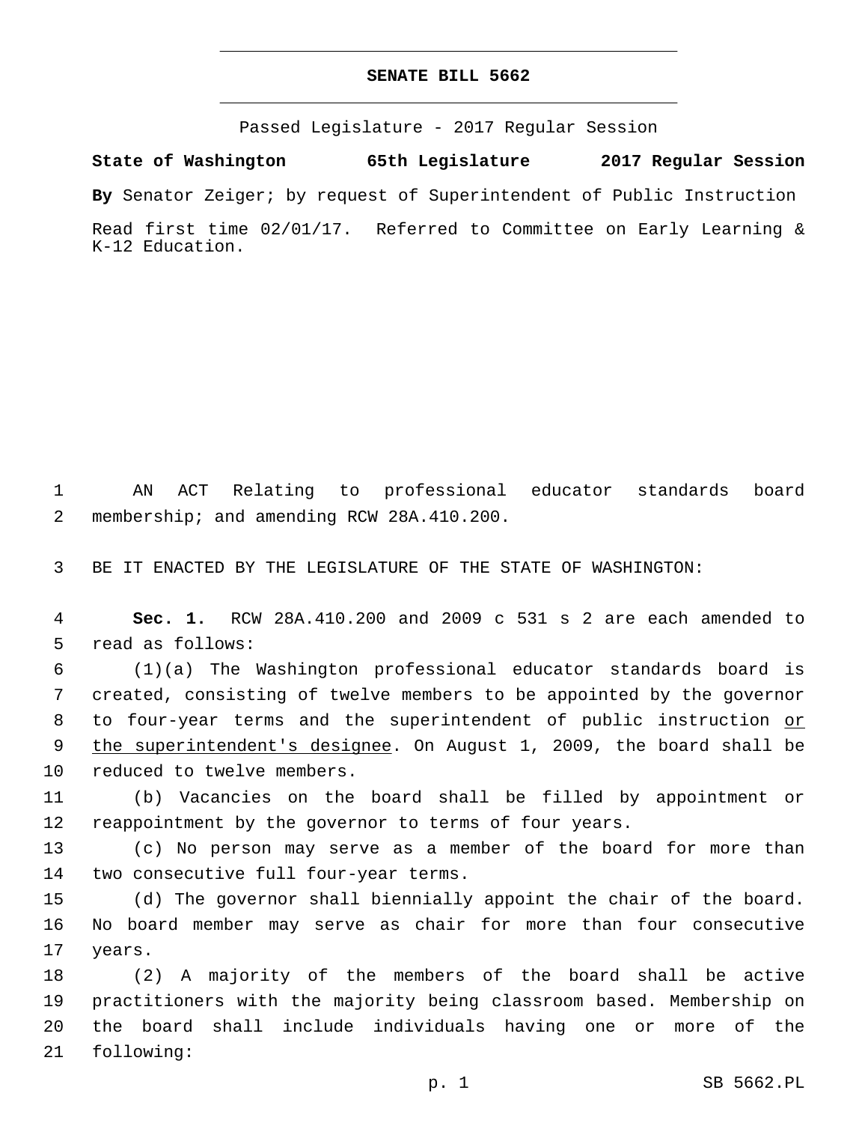## **SENATE BILL 5662**

Passed Legislature - 2017 Regular Session

**State of Washington 65th Legislature 2017 Regular Session**

**By** Senator Zeiger; by request of Superintendent of Public Instruction

Read first time 02/01/17. Referred to Committee on Early Learning & K-12 Education.

1 AN ACT Relating to professional educator standards board 2 membership; and amending RCW 28A.410.200.

3 BE IT ENACTED BY THE LEGISLATURE OF THE STATE OF WASHINGTON:

4 **Sec. 1.** RCW 28A.410.200 and 2009 c 531 s 2 are each amended to 5 read as follows:

6 (1)(a) The Washington professional educator standards board is 7 created, consisting of twelve members to be appointed by the governor 8 to four-year terms and the superintendent of public instruction or 9 the superintendent's designee. On August 1, 2009, the board shall be 10 reduced to twelve members.

11 (b) Vacancies on the board shall be filled by appointment or 12 reappointment by the governor to terms of four years.

13 (c) No person may serve as a member of the board for more than 14 two consecutive full four-year terms.

15 (d) The governor shall biennially appoint the chair of the board. 16 No board member may serve as chair for more than four consecutive 17 years.

 (2) A majority of the members of the board shall be active practitioners with the majority being classroom based. Membership on the board shall include individuals having one or more of the 21 following: